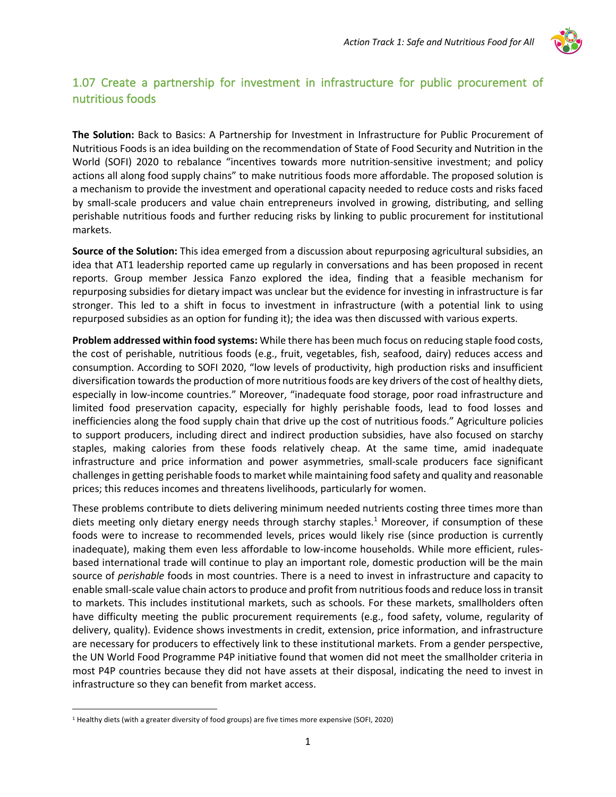

## 1.07 Create a partnership for investment in infrastructure for public procurement of nutritious foods

**The Solution:** Back to Basics: A Partnership for Investment in Infrastructure for Public Procurement of Nutritious Foods is an idea building on the recommendation of State of Food Security and Nutrition in the World (SOFI) 2020 to rebalance "incentives towards more nutrition-sensitive investment; and policy actions all along food supply chains" to make nutritious foods more affordable. The proposed solution is a mechanism to provide the investment and operational capacity needed to reduce costs and risks faced by small-scale producers and value chain entrepreneurs involved in growing, distributing, and selling perishable nutritious foods and further reducing risks by linking to public procurement for institutional markets.

**Source of the Solution:** This idea emerged from a discussion about repurposing agricultural subsidies, an idea that AT1 leadership reported came up regularly in conversations and has been proposed in recent reports. Group member Jessica Fanzo explored the idea, finding that a feasible mechanism for repurposing subsidies for dietary impact was unclear but the evidence for investing in infrastructure is far stronger. This led to a shift in focus to investment in infrastructure (with a potential link to using repurposed subsidies as an option for funding it); the idea was then discussed with various experts.

**Problem addressed within food systems:** While there has been much focus on reducing staple food costs, the cost of perishable, nutritious foods (e.g., fruit, vegetables, fish, seafood, dairy) reduces access and consumption. According to SOFI 2020, "low levels of productivity, high production risks and insufficient diversification towards the production of more nutritious foods are key drivers of the cost of healthy diets, especially in low-income countries." Moreover, "inadequate food storage, poor road infrastructure and limited food preservation capacity, especially for highly perishable foods, lead to food losses and inefficiencies along the food supply chain that drive up the cost of nutritious foods." Agriculture policies to support producers, including direct and indirect production subsidies, have also focused on starchy staples, making calories from these foods relatively cheap. At the same time, amid inadequate infrastructure and price information and power asymmetries, small-scale producers face significant challenges in getting perishable foods to market while maintaining food safety and quality and reasonable prices; this reduces incomes and threatens livelihoods, particularly for women.

These problems contribute to diets delivering minimum needed nutrients costing three times more than diets meeting only dietary energy needs through starchy staples.<sup>1</sup> Moreover, if consumption of these foods were to increase to recommended levels, prices would likely rise (since production is currently inadequate), making them even less affordable to low-income households. While more efficient, rulesbased international trade will continue to play an important role, domestic production will be the main source of *perishable* foods in most countries. There is a need to invest in infrastructure and capacity to enable small-scale value chain actors to produce and profit from nutritious foods and reduce loss in transit to markets. This includes institutional markets, such as schools. For these markets, smallholders often have difficulty meeting the public procurement requirements (e.g., food safety, volume, regularity of delivery, quality). Evidence shows investments in credit, extension, price information, and infrastructure are necessary for producers to effectively link to these institutional markets. From a gender perspective, the UN World Food Programme P4P initiative found that women did not meet the smallholder criteria in most P4P countries because they did not have assets at their disposal, indicating the need to invest in infrastructure so they can benefit from market access.

<sup>1</sup> Healthy diets (with a greater diversity of food groups) are five times more expensive (SOFI, 2020)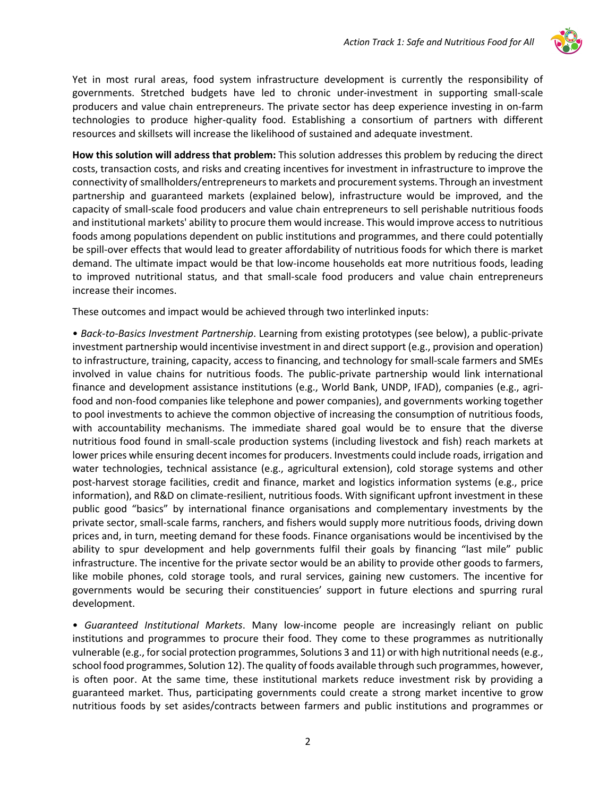

Yet in most rural areas, food system infrastructure development is currently the responsibility of governments. Stretched budgets have led to chronic under-investment in supporting small-scale producers and value chain entrepreneurs. The private sector has deep experience investing in on-farm technologies to produce higher-quality food. Establishing a consortium of partners with different resources and skillsets will increase the likelihood of sustained and adequate investment.

**How this solution will address that problem:** This solution addresses this problem by reducing the direct costs, transaction costs, and risks and creating incentives for investment in infrastructure to improve the connectivity of smallholders/entrepreneurs to markets and procurement systems. Through an investment partnership and guaranteed markets (explained below), infrastructure would be improved, and the capacity of small-scale food producers and value chain entrepreneurs to sell perishable nutritious foods and institutional markets' ability to procure them would increase. This would improve access to nutritious foods among populations dependent on public institutions and programmes, and there could potentially be spill-over effects that would lead to greater affordability of nutritious foods for which there is market demand. The ultimate impact would be that low-income households eat more nutritious foods, leading to improved nutritional status, and that small-scale food producers and value chain entrepreneurs increase their incomes.

These outcomes and impact would be achieved through two interlinked inputs:

• *Back-to-Basics Investment Partnership*. Learning from existing prototypes (see below), a public-private investment partnership would incentivise investment in and direct support (e.g., provision and operation) to infrastructure, training, capacity, access to financing, and technology for small-scale farmers and SMEs involved in value chains for nutritious foods. The public-private partnership would link international finance and development assistance institutions (e.g., World Bank, UNDP, IFAD), companies (e.g., agrifood and non-food companies like telephone and power companies), and governments working together to pool investments to achieve the common objective of increasing the consumption of nutritious foods, with accountability mechanisms. The immediate shared goal would be to ensure that the diverse nutritious food found in small-scale production systems (including livestock and fish) reach markets at lower prices while ensuring decent incomes for producers. Investments could include roads, irrigation and water technologies, technical assistance (e.g., agricultural extension), cold storage systems and other post-harvest storage facilities, credit and finance, market and logistics information systems (e.g., price information), and R&D on climate-resilient, nutritious foods. With significant upfront investment in these public good "basics" by international finance organisations and complementary investments by the private sector, small-scale farms, ranchers, and fishers would supply more nutritious foods, driving down prices and, in turn, meeting demand for these foods. Finance organisations would be incentivised by the ability to spur development and help governments fulfil their goals by financing "last mile" public infrastructure. The incentive for the private sector would be an ability to provide other goods to farmers, like mobile phones, cold storage tools, and rural services, gaining new customers. The incentive for governments would be securing their constituencies' support in future elections and spurring rural development.

• *Guaranteed Institutional Markets*. Many low-income people are increasingly reliant on public institutions and programmes to procure their food. They come to these programmes as nutritionally vulnerable (e.g., for social protection programmes, Solutions 3 and 11) or with high nutritional needs (e.g., school food programmes, Solution 12). The quality of foods available through such programmes, however, is often poor. At the same time, these institutional markets reduce investment risk by providing a guaranteed market. Thus, participating governments could create a strong market incentive to grow nutritious foods by set asides/contracts between farmers and public institutions and programmes or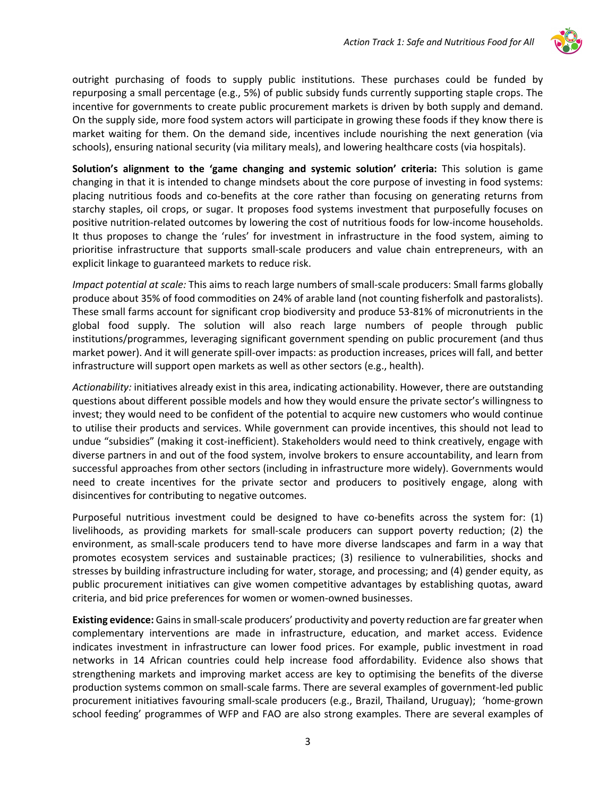

outright purchasing of foods to supply public institutions. These purchases could be funded by repurposing a small percentage (e.g., 5%) of public subsidy funds currently supporting staple crops. The incentive for governments to create public procurement markets is driven by both supply and demand. On the supply side, more food system actors will participate in growing these foods if they know there is market waiting for them. On the demand side, incentives include nourishing the next generation (via schools), ensuring national security (via military meals), and lowering healthcare costs (via hospitals).

**Solution's alignment to the 'game changing and systemic solution' criteria:** This solution is game changing in that it is intended to change mindsets about the core purpose of investing in food systems: placing nutritious foods and co-benefits at the core rather than focusing on generating returns from starchy staples, oil crops, or sugar. It proposes food systems investment that purposefully focuses on positive nutrition-related outcomes by lowering the cost of nutritious foods for low-income households. It thus proposes to change the 'rules' for investment in infrastructure in the food system, aiming to prioritise infrastructure that supports small-scale producers and value chain entrepreneurs, with an explicit linkage to guaranteed markets to reduce risk.

*Impact potential at scale:* This aims to reach large numbers of small-scale producers: Small farms globally produce about 35% of food commodities on 24% of arable land (not counting fisherfolk and pastoralists). These small farms account for significant crop biodiversity and produce 53-81% of micronutrients in the global food supply. The solution will also reach large numbers of people through public institutions/programmes, leveraging significant government spending on public procurement (and thus market power). And it will generate spill-over impacts: as production increases, prices will fall, and better infrastructure will support open markets as well as other sectors (e.g., health).

*Actionability:* initiatives already exist in this area, indicating actionability. However, there are outstanding questions about different possible models and how they would ensure the private sector's willingness to invest; they would need to be confident of the potential to acquire new customers who would continue to utilise their products and services. While government can provide incentives, this should not lead to undue "subsidies" (making it cost-inefficient). Stakeholders would need to think creatively, engage with diverse partners in and out of the food system, involve brokers to ensure accountability, and learn from successful approaches from other sectors (including in infrastructure more widely). Governments would need to create incentives for the private sector and producers to positively engage, along with disincentives for contributing to negative outcomes.

Purposeful nutritious investment could be designed to have co-benefits across the system for: (1) livelihoods, as providing markets for small-scale producers can support poverty reduction; (2) the environment, as small-scale producers tend to have more diverse landscapes and farm in a way that promotes ecosystem services and sustainable practices; (3) resilience to vulnerabilities, shocks and stresses by building infrastructure including for water, storage, and processing; and (4) gender equity, as public procurement initiatives can give women competitive advantages by establishing quotas, award criteria, and bid price preferences for women or women-owned businesses.

**Existing evidence:** Gains in small-scale producers' productivity and poverty reduction are far greater when complementary interventions are made in infrastructure, education, and market access. Evidence indicates investment in infrastructure can lower food prices. For example, public investment in road networks in 14 African countries could help increase food affordability. Evidence also shows that strengthening markets and improving market access are key to optimising the benefits of the diverse production systems common on small-scale farms. There are several examples of government-led public procurement initiatives favouring small-scale producers (e.g., Brazil, Thailand, Uruguay); 'home-grown school feeding' programmes of WFP and FAO are also strong examples. There are several examples of